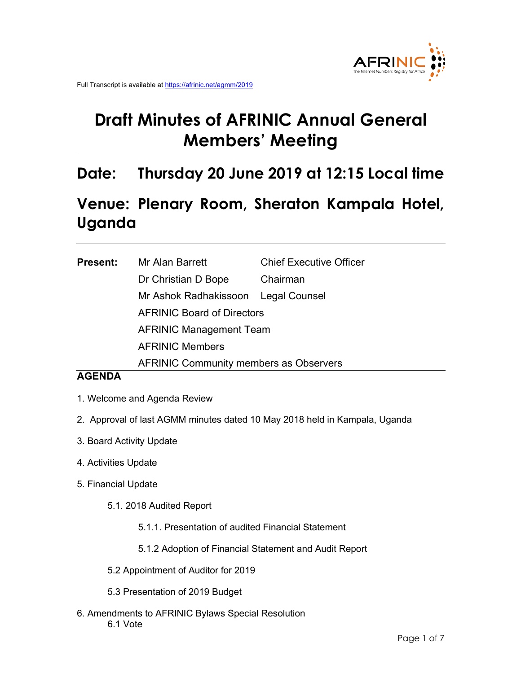# **Draft Minutes of AFRINIC Annual General Members' Meeting**

# **Date: Thursday 20 June 2019 at 12:15 Local time**

# **Venue: Plenary Room, Sheraton Kampala Hotel, Uganda**

| <b>Present:</b> | Mr Alan Barrett                               | <b>Chief Executive Officer</b> |
|-----------------|-----------------------------------------------|--------------------------------|
|                 | Dr Christian D Bope                           | Chairman                       |
|                 | Mr Ashok Radhakissoon Legal Counsel           |                                |
|                 | <b>AFRINIC Board of Directors</b>             |                                |
|                 | <b>AFRINIC Management Team</b>                |                                |
|                 | <b>AFRINIC Members</b>                        |                                |
|                 | <b>AFRINIC Community members as Observers</b> |                                |

# **AGENDA**

- 1. Welcome and Agenda Review
- 2. Approval of last AGMM minutes dated 10 May 2018 held in Kampala, Uganda
- 3. Board Activity Update
- 4. Activities Update
- 5. Financial Update
	- 5.1. 2018 Audited Report
		- 5.1.1. Presentation of audited Financial Statement
		- 5.1.2 Adoption of Financial Statement and Audit Report
	- 5.2 Appointment of Auditor for 2019
	- 5.3 Presentation of 2019 Budget
- 6. Amendments to AFRINIC Bylaws Special Resolution 6.1 Vote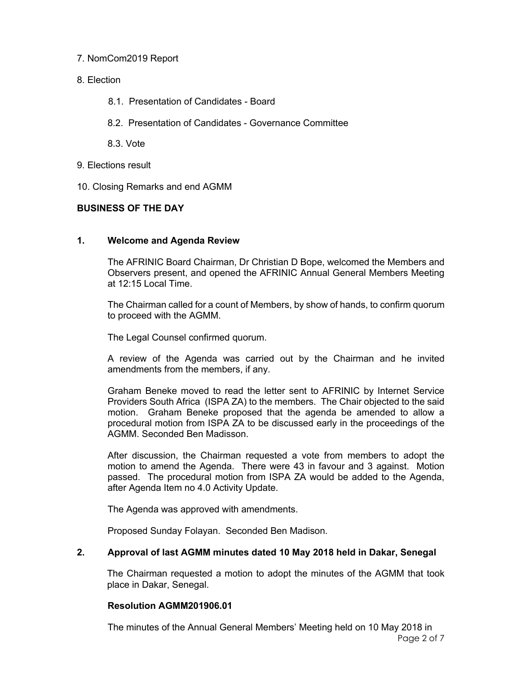## 7. NomCom2019 Report

- 8. Election
	- 8.1. Presentation of Candidates Board
	- 8.2. Presentation of Candidates Governance Committee
	- 8.3. Vote
- 9. Elections result
- 10. Closing Remarks and end AGMM

# **BUSINESS OF THE DAY**

# **1. Welcome and Agenda Review**

The AFRINIC Board Chairman, Dr Christian D Bope, welcomed the Members and Observers present, and opened the AFRINIC Annual General Members Meeting at 12:15 Local Time.

The Chairman called for a count of Members, by show of hands, to confirm quorum to proceed with the AGMM.

The Legal Counsel confirmed quorum.

A review of the Agenda was carried out by the Chairman and he invited amendments from the members, if any.

Graham Beneke moved to read the letter sent to AFRINIC by Internet Service Providers South Africa (ISPA ZA) to the members. The Chair objected to the said motion. Graham Beneke proposed that the agenda be amended to allow a procedural motion from ISPA ZA to be discussed early in the proceedings of the AGMM. Seconded Ben Madisson.

After discussion, the Chairman requested a vote from members to adopt the motion to amend the Agenda. There were 43 in favour and 3 against. Motion passed. The procedural motion from ISPA ZA would be added to the Agenda, after Agenda Item no 4.0 Activity Update.

The Agenda was approved with amendments.

Proposed Sunday Folayan. Seconded Ben Madison.

# **2. Approval of last AGMM minutes dated 10 May 2018 held in Dakar, Senegal**

The Chairman requested a motion to adopt the minutes of the AGMM that took place in Dakar, Senegal.

#### **Resolution AGMM201906.01**

Page 2 of 7 The minutes of the Annual General Members' Meeting held on 10 May 2018 in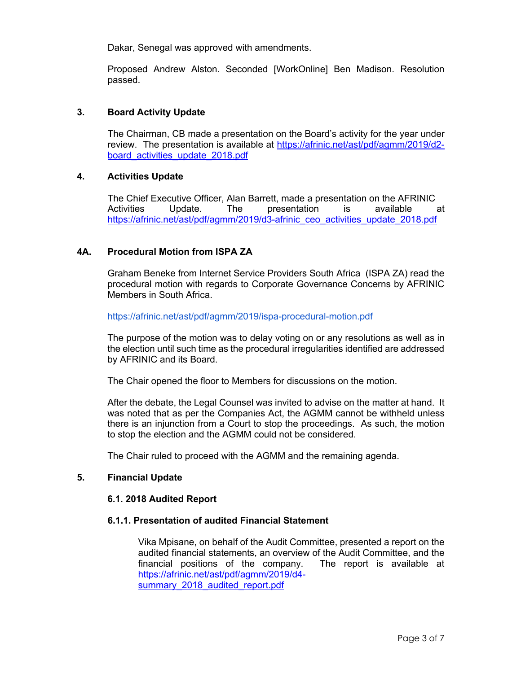Dakar, Senegal was approved with amendments.

Proposed Andrew Alston. Seconded [WorkOnline] Ben Madison. Resolution passed.

#### **3. Board Activity Update**

The Chairman, CB made a presentation on the Board's activity for the year under review. The presentation is available at https://afrinic.net/ast/pdf/agmm/2019/d2 board activities update 2018.pdf

#### **4. Activities Update**

The Chief Executive Officer, Alan Barrett, made a presentation on the AFRINIC Activities Update. The presentation is available at https://afrinic.net/ast/pdf/agmm/2019/d3-afrinic\_ceo\_activities\_update\_2018.pdf

#### **4A. Procedural Motion from ISPA ZA**

Graham Beneke from Internet Service Providers South Africa (ISPA ZA) read the procedural motion with regards to Corporate Governance Concerns by AFRINIC Members in South Africa.

https://afrinic.net/ast/pdf/agmm/2019/ispa-procedural-motion.pdf

The purpose of the motion was to delay voting on or any resolutions as well as in the election until such time as the procedural irregularities identified are addressed by AFRINIC and its Board.

The Chair opened the floor to Members for discussions on the motion.

After the debate, the Legal Counsel was invited to advise on the matter at hand. It was noted that as per the Companies Act, the AGMM cannot be withheld unless there is an injunction from a Court to stop the proceedings. As such, the motion to stop the election and the AGMM could not be considered.

The Chair ruled to proceed with the AGMM and the remaining agenda.

#### **5. Financial Update**

#### **6.1. 2018 Audited Report**

#### **6.1.1. Presentation of audited Financial Statement**

Vika Mpisane, on behalf of the Audit Committee, presented a report on the audited financial statements, an overview of the Audit Committee, and the financial positions of the company. The report is available at https://afrinic.net/ast/pdf/agmm/2019/d4 summary 2018 audited report.pdf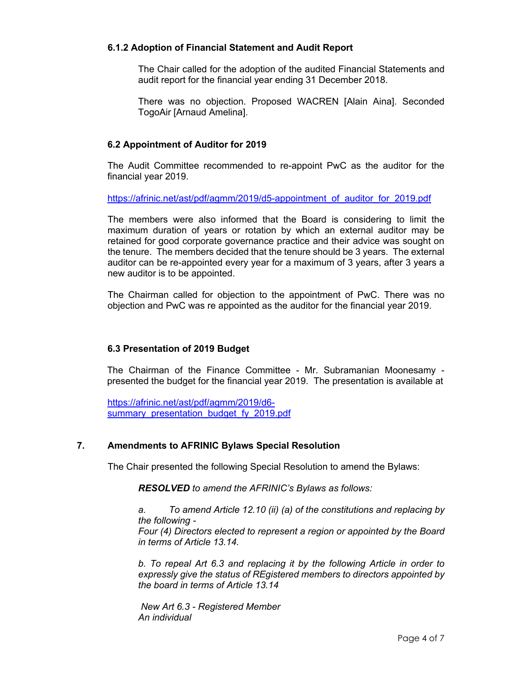## **6.1.2 Adoption of Financial Statement and Audit Report**

The Chair called for the adoption of the audited Financial Statements and audit report for the financial year ending 31 December 2018.

There was no objection. Proposed WACREN [Alain Aina]. Seconded TogoAir [Arnaud Amelina].

# **6.2 Appointment of Auditor for 2019**

The Audit Committee recommended to re-appoint PwC as the auditor for the financial year 2019.

https://afrinic.net/ast/pdf/agmm/2019/d5-appointment\_of\_auditor\_for\_2019.pdf

The members were also informed that the Board is considering to limit the maximum duration of years or rotation by which an external auditor may be retained for good corporate governance practice and their advice was sought on the tenure. The members decided that the tenure should be 3 years. The external auditor can be re-appointed every year for a maximum of 3 years, after 3 years a new auditor is to be appointed.

The Chairman called for objection to the appointment of PwC. There was no objection and PwC was re appointed as the auditor for the financial year 2019.

#### **6.3 Presentation of 2019 Budget**

The Chairman of the Finance Committee - Mr. Subramanian Moonesamy presented the budget for the financial year 2019. The presentation is available at

https://afrinic.net/ast/pdf/agmm/2019/d6 summary presentation budget fy 2019.pdf

### **7. Amendments to AFRINIC Bylaws Special Resolution**

The Chair presented the following Special Resolution to amend the Bylaws:

*RESOLVED to amend the AFRINIC's Bylaws as follows:*

*a. To amend Article 12.10 (ii) (a) of the constitutions and replacing by the following - Four (4) Directors elected to represent a region or appointed by the Board in terms of Article 13.14.*

*b. To repeal Art 6.3 and replacing it by the following Article in order to expressly give the status of REgistered members to directors appointed by the board in terms of Article 13.14*

*New Art 6.3 - Registered Member An individual*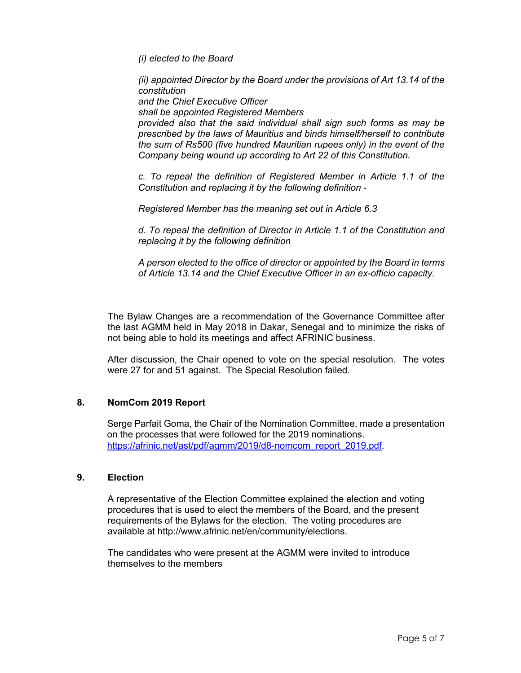*(i) elected to the Board*

*(ii) appointed Director by the Board under the provisions of Art 13.14 of the constitution and the Chief Executive Officer*

*shall be appointed Registered Members*

*provided also that the said individual shall sign such forms as may be prescribed by the laws of Mauritius and binds himself/herself to contribute the sum of Rs500 (five hundred Mauritian rupees only) in the event of the Company being wound up according to Art 22 of this Constitution.*

*c. To repeal the definition of Registered Member in Article 1.1 of the Constitution and replacing it by the following definition -*

*Registered Member has the meaning set out in Article 6.3*

*d. To repeal the definition of Director in Article 1.1 of the Constitution and replacing it by the following definition*

*A person elected to the office of director or appointed by the Board in terms of Article 13.14 and the Chief Executive Officer in an ex-officio capacity.*

The Bylaw Changes are a recommendation of the Governance Committee after the last AGMM held in May 2018 in Dakar, Senegal and to minimize the risks of not being able to hold its meetings and affect AFRINIC business.

After discussion, the Chair opened to vote on the special resolution. The votes were 27 for and 51 against. The Special Resolution failed.

#### **8. NomCom 2019 Report**

Serge Parfait Goma, the Chair of the Nomination Committee, made a presentation on the processes that were followed for the 2019 nominations. https://afrinic.net/ast/pdf/agmm/2019/d8-nomcom\_report\_2019.pdf.

#### **9. Election**

A representative of the Election Committee explained the election and voting procedures that is used to elect the members of the Board, and the present requirements of the Bylaws for the election. The voting procedures are available at http://www.afrinic.net/en/community/elections.

The candidates who were present at the AGMM were invited to introduce themselves to the members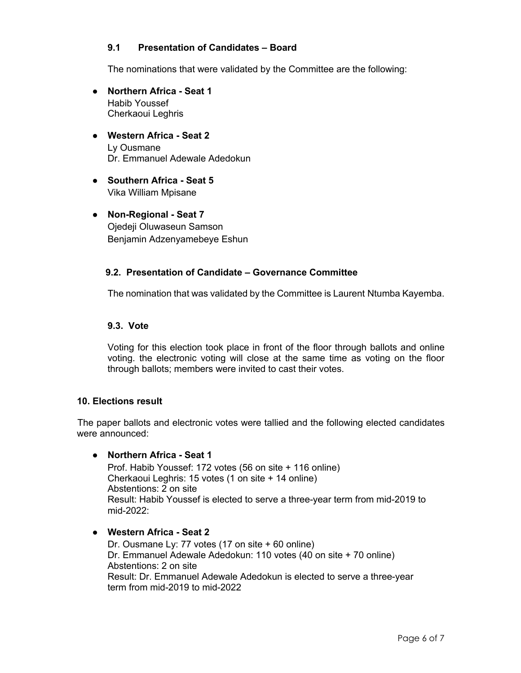# **9.1 Presentation of Candidates – Board**

The nominations that were validated by the Committee are the following:

- **Northern Africa - Seat 1** Habib Youssef Cherkaoui Leghris
- **Western Africa - Seat 2** Ly Ousmane Dr. Emmanuel Adewale Adedokun
- **Southern Africa - Seat 5** Vika William Mpisane
- **Non-Regional - Seat 7** Ojedeji Oluwaseun Samson Benjamin Adzenyamebeye Eshun

# **9.2. Presentation of Candidate – Governance Committee**

The nomination that was validated by the Committee is Laurent Ntumba Kayemba.

### **9.3. Vote**

Voting for this election took place in front of the floor through ballots and online voting. the electronic voting will close at the same time as voting on the floor through ballots; members were invited to cast their votes.

#### **10. Elections result**

The paper ballots and electronic votes were tallied and the following elected candidates were announced:

#### ● **Northern Africa - Seat 1**

Prof. Habib Youssef: 172 votes (56 on site + 116 online) Cherkaoui Leghris: 15 votes (1 on site + 14 online) Abstentions: 2 on site Result: Habib Youssef is elected to serve a three-year term from mid-2019 to mid-2022:

# ● **Western Africa - Seat 2**

Dr. Ousmane Ly: 77 votes (17 on site + 60 online) Dr. Emmanuel Adewale Adedokun: 110 votes (40 on site + 70 online) Abstentions: 2 on site Result: Dr. Emmanuel Adewale Adedokun is elected to serve a three-year term from mid-2019 to mid-2022